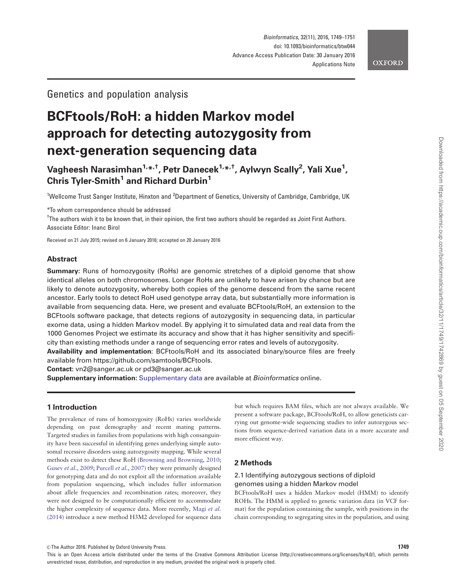# **OXFORD**

# Genetics and population analysis

# BCFtools/RoH: a hidden Markov model approach for detecting autozygosity from next-generation sequencing data

Vagheesh Narasimhan<sup>1,</sup>\*<sup>,†</sup>, Petr Danecek<sup>1,</sup>\*<sup>,†</sup>, Aylwyn Scally<sup>2</sup>, Yali Xue<sup>1</sup>, Chris Tyler-Smith<sup>1</sup> and Richard Durbin<sup>1</sup>

<sup>1</sup>Wellcome Trust Sanger Institute, Hinxton and <sup>2</sup>Department of Genetics, University of Cambridge, Cambridge, UK

\*To whom correspondence should be addressed

<sup>†</sup>The authors wish it to be known that, in their opinion, the first two authors should be regarded as Joint First Authors. Associate Editor: Inanc Birol

Received on 21 July 2015; revised on 6 January 2016; accepted on 20 January 2016

# Abstract

Summary: Runs of homozygosity (RoHs) are genomic stretches of a diploid genome that show identical alleles on both chromosomes. Longer RoHs are unlikely to have arisen by chance but are likely to denote autozygosity, whereby both copies of the genome descend from the same recent ancestor. Early tools to detect RoH used genotype array data, but substantially more information is available from sequencing data. Here, we present and evaluate BCFtools/RoH, an extension to the BCFtools software package, that detects regions of autozygosity in sequencing data, in particular exome data, using a hidden Markov model. By applying it to simulated data and real data from the 1000 Genomes Project we estimate its accuracy and show that it has higher sensitivity and specificity than existing methods under a range of sequencing error rates and levels of autozygosity.

Availability and implementation: BCFtools/RoH and its associated binary/source files are freely available from [https://github.com/samtools/BCFtools.](https://github.com/samtools/BCFtools)

Contact: vn2@sanger.ac.uk or pd3@sanger.ac.uk

Supplementary information: [Supplementary data](http://bioinformatics.oxfordjournals.org/lookup/suppl/doi:10.1093/bioinformatics/btw044/-/DC1) are available at *Bioinformatics* online.

#### 1 Introduction

The prevalence of runs of homozygosity (RoHs) varies worldwide depending on past demography and recent mating patterns. Targeted studies in families from populations with high consanguinity have been successful in identifying genes underlying simple autosomal recessive disorders using autozygosity mapping. While several methods exist to detect these RoH [\(Browning and Browning, 2010;](#page-2-0) Gusev et al[., 2009](#page-2-0); Purcell et al[., 2007\)](#page-2-0) they were primarily designed for genotyping data and do not exploit all the information available from population sequencing, which includes fuller information about allele frequencies and recombination rates; moreover, they were not designed to be computationally efficient to accommodate the higher complexity of sequence data. More recently, [Magi](#page-2-0) et al. [\(2014](#page-2-0)) introduce a new method H3M2 developed for sequence data

but which requires BAM files, which are not always available. We present a software package, BCFtools/RoH, to allow geneticists carrying out genome-wide sequencing studies to infer autozygous sections from sequence-derived variation data in a more accurate and more efficient way.

# 2 Methods

### 2.1 Identifying autozygous sections of diploid genomes using a hidden Markov model

BCFtools/RoH uses a hidden Markov model (HMM) to identify ROHs. The HMM is applied to genetic variation data (in VCF format) for the population containing the sample, with positions in the chain corresponding to segregating sites in the population, and using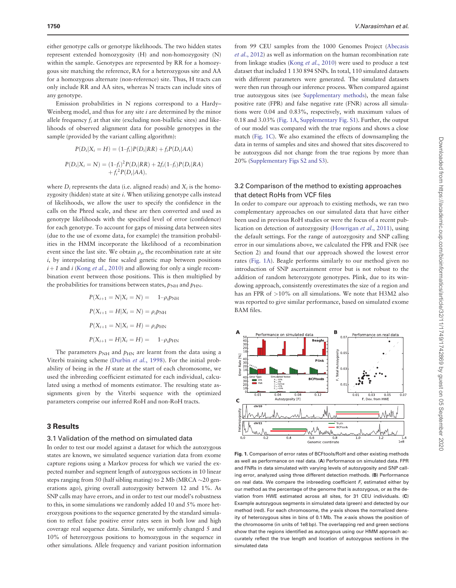<span id="page-1-0"></span>either genotype calls or genotype likelihoods. The two hidden states represent extended homozygosity (H) and non-homozygosity (N) within the sample. Genotypes are represented by RR for a homozygous site matching the reference, RA for a heterozygous site and AA for a homozygous alternate (non-reference) site. Thus, H tracts can only include RR and AA sites, whereas N tracts can include sites of any genotype.

Emission probabilities in N regions correspond to a Hardy– Weinberg model, and thus for any site  $i$  are determined by the minor allele frequency  $f_i$  at that site (excluding non-biallelic sites) and likelihoods of observed alignment data for possible genotypes in the sample (provided by the variant calling algorithm):

$$
P(D_i|X_i = H) = (1-f_i)P(D_i|RR) + f_iP(D_i|AA)
$$
  

$$
P(D_i|X_i = N) = (1-f_i)^2P(D_i|RR) + 2f_i(1-f_i)P(D_i|RA)
$$
  

$$
+ f_i^2P(D_i|AA),
$$

where  $D_i$  represents the data (i.e. aligned reads) and  $X_i$  is the homozygosity (hidden) state at site  $i$ . When utilizing genotype calls instead of likelihoods, we allow the user to specify the confidence in the calls on the Phred scale, and these are then converted and used as genotype likelihoods with the specified level of error (confidence) for each genotype. To account for gaps of missing data between sites (due to the use of exome data, for example) the transition probabilities in the HMM incorporate the likelihood of a recombination event since the last site. We obtain  $\rho_i$ , the recombination rate at site  $i$ , by interpolating the fine scaled genetic map between positions  $i+1$  and i (Kong et al.[, 2010](#page-2-0)) and allowing for only a single recombination event between those positions. This is then multiplied by the probabilities for transitions between states,  $p_{NH}$  and  $p_{HN}$ .

$$
P(X_{i+1} = N | X_i = N) = 1 - \rho_i p_{NH}
$$
  
\n
$$
P(X_{i+1} = H | X_i = N) = \rho_i p_{NH}
$$
  
\n
$$
P(X_{i+1} = N | X_i = H) = \rho_i p_{HN}
$$
  
\n
$$
P(X_{i+1} = H | X_i = H) = 1 - \rho_i p_{HN}
$$

The parameters  $p_{NH}$  and  $p_{HN}$  are learnt from the data using a Viterbi training scheme ([Durbin](#page-2-0) et al., 1998). For the initial probability of being in the H state at the start of each chromosome, we used the inbreeding coefficient estimated for each individual, calculated using a method of moments estimator. The resulting state assignments given by the Viterbi sequence with the optimized parameters comprise our inferred RoH and non-RoH tracts.

# 3 Results

#### 3.1 Validation of the method on simulated data

In order to test our model against a dataset for which the autozygous states are known, we simulated sequence variation data from exome capture regions using a Markov process for which we varied the expected number and segment length of autozygous sections in 10 linear steps ranging from 50 (half sibling mating) to 2 Mb (MRCA  $\sim$  20 generations ago), giving overall autozygosity between 12 and 1%. As SNP calls may have errors, and in order to test our model's robustness to this, in some simulations we randomly added 10 and 5% more heterozygous positions to the sequence generated by the standard simulation to reflect false positive error rates seen in both low and high coverage real sequence data. Similarly, we uniformly changed 5 and 10% of heterozygous positions to homozygous in the sequence in other simulations. Allele frequency and variant position information

from 99 CEU samples from the 1000 Genomes Project [\(Abecasis](#page-2-0) et al[., 2012](#page-2-0)) as well as information on the human recombination rate from linkage studies (Kong et al[., 2010](#page-2-0)) were used to produce a test dataset that included 1 130 894 SNPs. In total, 110 simulated datasets with different parameters were generated. The simulated datasets were then run through our inference process. When compared against true autozygous sites (see [Supplementary methods\)](http://bioinformatics.oxfordjournals.org/lookup/suppl/doi:10.1093/bioinformatics/btw044/-/DC1), the mean false positive rate (FPR) and false negative rate (FNR) across all simulations were 0.04 and 0.83%, respectively, with maximum values of 0.18 and 3.03% (Fig. 1A, [Supplementary Fig. S1](http://bioinformatics.oxfordjournals.org/lookup/suppl/doi:10.1093/bioinformatics/btw044/-/DC1)). Further, the output of our model was compared with the true regions and shows a close match (Fig. 1C). We also examined the effects of downsampling the data in terms of samples and sites and showed that sites discovered to be autozygous did not change from the true regions by more than 20% [\(Supplementary Figs S2 and S3\)](http://bioinformatics.oxfordjournals.org/lookup/suppl/doi:10.1093/bioinformatics/btw044/-/DC1).

# 3.2 Comparison of the method to existing approaches that detect RoHs from VCF files

In order to compare our approach to existing methods, we ran two complementary approaches on our simulated data that have either been used in previous RoH studies or were the focus of a recent publication on detection of autozygosity ([Howrigan](#page-2-0) et al., 2011), using the default settings. For the range of autozygosity and SNP calling error in our simulations above, we calculated the FPR and FNR (see Section 2) and found that our approach showed the lowest error rates (Fig. 1A). Beagle performs similarly to our method given no introduction of SNP ascertainment error but is not robust to the addition of random heterozygote genotypes. Plink, due to its windowing approach, consistently overestimates the size of a region and has an FPR of  $>10\%$  on all simulations. We note that H3M2 also was reported to give similar performance, based on simulated exome BAM files.



Fig. 1. Comparison of error rates of BCFtools/RoH and other existing methods as well as performance on real data. (A) Performance on simulated data. FPR and FNRs in data simulated with varying levels of autozygosity and SNP calling error, analyzed using three different detection methods. (B) Performance on real data. We compare the inbreeding coefficient  $F$ , estimated either by our method as the percentage of the genome that is autozygous, or as the deviation from HWE estimated across all sites, for 31 CEU individuals. (C) Example autozygous segments in simulated data (green) and detected by our method (red). For each chromosome, the y-axis shows the normalized density of heterozygous sites in bins of 0.1 Mb. The x-axis shows the position of the chromosome (in units of 1e8 bp). The overlapping red and green sections show that the regions identified as autozygous using our HMM approach accurately reflect the true length and location of autozygous sections in the simulated data